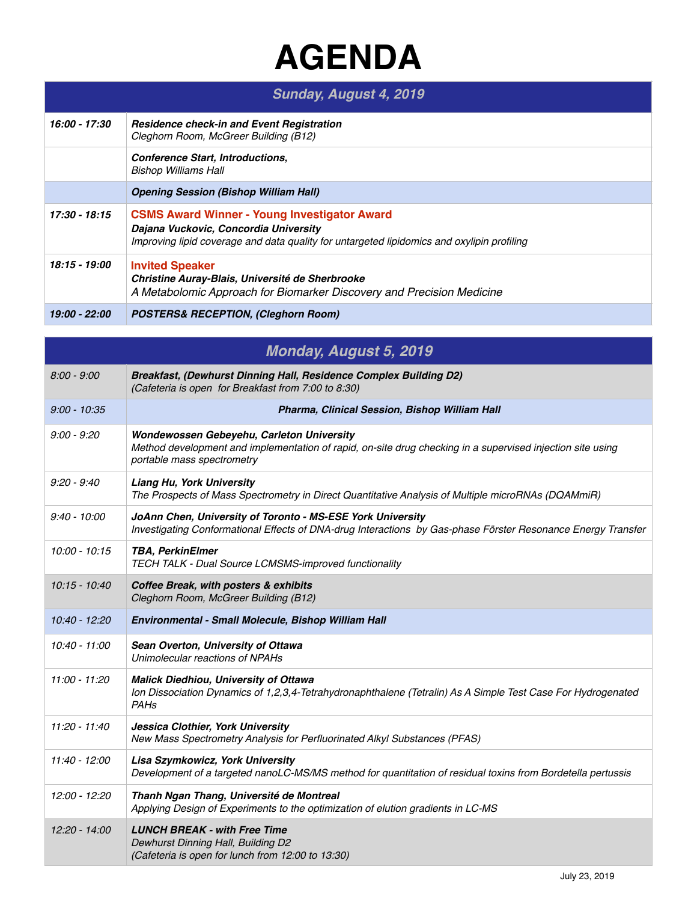## **AGENDA**

| Sunday, August 4, 2019 |                                                                                                                                                                                            |
|------------------------|--------------------------------------------------------------------------------------------------------------------------------------------------------------------------------------------|
| 16:00 - 17:30          | <b>Residence check-in and Event Registration</b><br>Cleghorn Room, McGreer Building (B12)                                                                                                  |
|                        | <b>Conference Start, Introductions,</b><br>Bishop Williams Hall                                                                                                                            |
|                        | <b>Opening Session (Bishop William Hall)</b>                                                                                                                                               |
| 17:30 - 18:15          | <b>CSMS Award Winner - Young Investigator Award</b><br>Dajana Vuckovic, Concordia University<br>Improving lipid coverage and data quality for untargeted lipidomics and oxylipin profiling |
| 18:15 - 19:00          | <b>Invited Speaker</b><br>Christine Auray-Blais, Université de Sherbrooke<br>A Metabolomic Approach for Biomarker Discovery and Precision Medicine                                         |
| 19:00 - 22:00          | <b>POSTERS&amp; RECEPTION, (Cleghorn Room)</b>                                                                                                                                             |

| <b>Monday, August 5, 2019</b> |                                                                                                                                                                                       |
|-------------------------------|---------------------------------------------------------------------------------------------------------------------------------------------------------------------------------------|
| $8:00 - 9:00$                 | Breakfast, (Dewhurst Dinning Hall, Residence Complex Building D2)<br>(Cafeteria is open for Breakfast from 7:00 to 8:30)                                                              |
| $9:00 - 10:35$                | Pharma, Clinical Session, Bishop William Hall                                                                                                                                         |
| $9:00 - 9:20$                 | Wondewossen Gebeyehu, Carleton University<br>Method development and implementation of rapid, on-site drug checking in a supervised injection site using<br>portable mass spectrometry |
| $9:20 - 9:40$                 | <b>Liang Hu, York University</b><br>The Prospects of Mass Spectrometry in Direct Quantitative Analysis of Multiple microRNAs (DQAMmiR)                                                |
| $9:40 - 10:00$                | JoAnn Chen, University of Toronto - MS-ESE York University<br>Investigating Conformational Effects of DNA-drug Interactions by Gas-phase Förster Resonance Energy Transfer            |
| $10:00 - 10:15$               | <b>TBA, PerkinElmer</b><br>TECH TALK - Dual Source LCMSMS-improved functionality                                                                                                      |
| $10:15 - 10:40$               | Coffee Break, with posters & exhibits<br>Cleghorn Room, McGreer Building (B12)                                                                                                        |
| 10:40 - 12:20                 | Environmental - Small Molecule, Bishop William Hall                                                                                                                                   |
| 10:40 - 11:00                 | Sean Overton, University of Ottawa<br>Unimolecular reactions of NPAHs                                                                                                                 |
| $11:00 - 11:20$               | <b>Malick Diedhiou, University of Ottawa</b><br>Ion Dissociation Dynamics of 1,2,3,4-Tetrahydronaphthalene (Tetralin) As A Simple Test Case For Hydrogenated<br><b>PAHs</b>           |
| 11:20 - 11:40                 | Jessica Clothier, York University<br>New Mass Spectrometry Analysis for Perfluorinated Alkyl Substances (PFAS)                                                                        |
| 11:40 - 12:00                 | Lisa Szymkowicz, York University<br>Development of a targeted nanoLC-MS/MS method for quantitation of residual toxins from Bordetella pertussis                                       |
| 12:00 - 12:20                 | Thanh Ngan Thang, Université de Montreal<br>Applying Design of Experiments to the optimization of elution gradients in LC-MS                                                          |
| 12:20 - 14:00                 | <b>LUNCH BREAK - with Free Time</b><br>Dewhurst Dinning Hall, Building D2<br>(Cafeteria is open for lunch from 12:00 to 13:30)                                                        |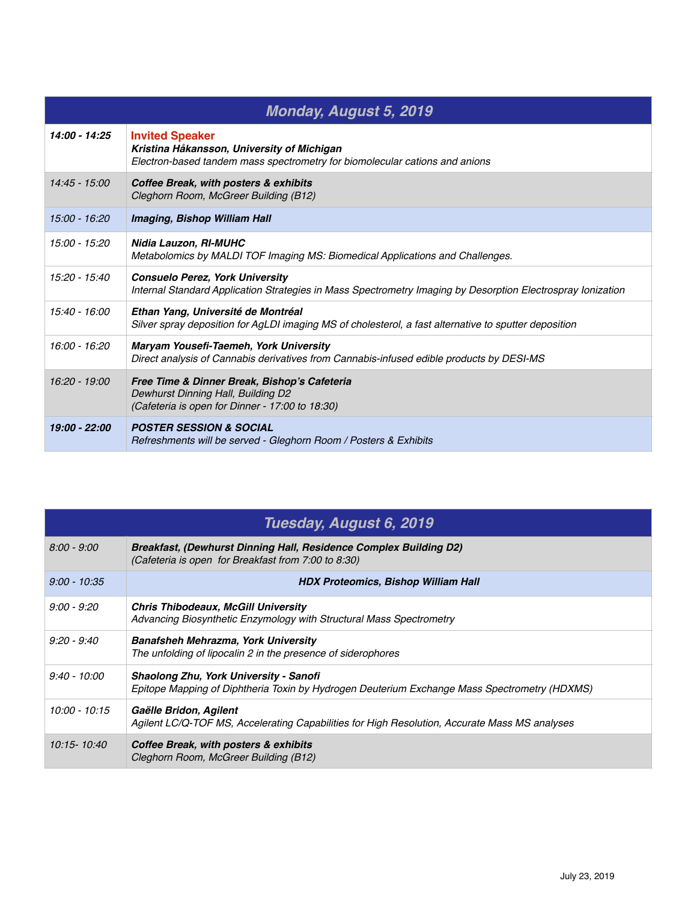| <b>Monday, August 5, 2019</b> |                                                                                                                                                       |
|-------------------------------|-------------------------------------------------------------------------------------------------------------------------------------------------------|
| 14:00 - 14:25                 | <b>Invited Speaker</b><br>Kristina Håkansson, University of Michigan<br>Electron-based tandem mass spectrometry for biomolecular cations and anions   |
| $14:45 - 15:00$               | Coffee Break, with posters & exhibits<br>Cleghorn Room, McGreer Building (B12)                                                                        |
| 15:00 - 16:20                 | Imaging, Bishop William Hall                                                                                                                          |
| 15:00 - 15:20                 | Nidia Lauzon, RI-MUHC<br>Metabolomics by MALDI TOF Imaging MS: Biomedical Applications and Challenges.                                                |
| 15:20 - 15:40                 | <b>Consuelo Perez, York University</b><br>Internal Standard Application Strategies in Mass Spectrometry Imaging by Desorption Electrospray Ionization |
| 15:40 - 16:00                 | Ethan Yang, Université de Montréal<br>Silver spray deposition for AgLDI imaging MS of cholesterol, a fast alternative to sputter deposition           |
| 16:00 - 16:20                 | Maryam Yousefi-Taemeh, York University<br>Direct analysis of Cannabis derivatives from Cannabis-infused edible products by DESI-MS                    |
| $16:20 - 19:00$               | Free Time & Dinner Break, Bishop's Cafeteria<br>Dewhurst Dinning Hall, Building D2<br>(Cafeteria is open for Dinner - 17:00 to 18:30)                 |
| 19:00 - 22:00                 | <b>POSTER SESSION &amp; SOCIAL</b><br>Refreshments will be served - Gleghorn Room / Posters & Exhibits                                                |

| Tuesday, August 6, 2019 |                                                                                                                                        |
|-------------------------|----------------------------------------------------------------------------------------------------------------------------------------|
| $8:00 - 9:00$           | Breakfast, (Dewhurst Dinning Hall, Residence Complex Building D2)<br>(Cafeteria is open for Breakfast from 7:00 to 8:30)               |
| $9:00 - 10:35$          | <b>HDX Proteomics, Bishop William Hall</b>                                                                                             |
| $9:00 - 9:20$           | <b>Chris Thibodeaux, McGill University</b><br>Advancing Biosynthetic Enzymology with Structural Mass Spectrometry                      |
| $9:20 - 9:40$           | <b>Banafsheh Mehrazma, York University</b><br>The unfolding of lipocalin 2 in the presence of siderophores                             |
| $9:40 - 10:00$          | Shaolong Zhu, York University - Sanofi<br>Epitope Mapping of Diphtheria Toxin by Hydrogen Deuterium Exchange Mass Spectrometry (HDXMS) |
| 10:00 - 10:15           | Gaëlle Bridon, Agilent<br>Agilent LC/Q-TOF MS, Accelerating Capabilities for High Resolution, Accurate Mass MS analyses                |
| 10:15-10:40             | Coffee Break, with posters & exhibits<br>Cleghorn Room, McGreer Building (B12)                                                         |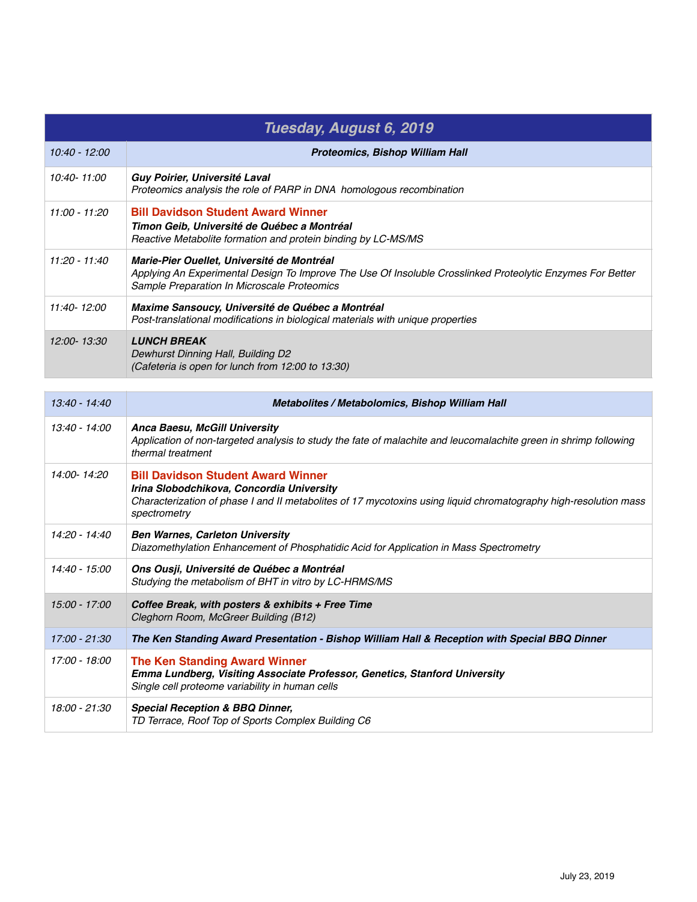| Tuesday, August 6, 2019 |                                                                                                                                                                                                                |  |
|-------------------------|----------------------------------------------------------------------------------------------------------------------------------------------------------------------------------------------------------------|--|
| 10:40 - 12:00           | <b>Proteomics, Bishop William Hall</b>                                                                                                                                                                         |  |
| 10:40-11:00             | Guy Poirier, Université Laval<br>Proteomics analysis the role of PARP in DNA homologous recombination                                                                                                          |  |
| 11:00 - 11:20           | <b>Bill Davidson Student Award Winner</b><br>Timon Geib, Université de Québec a Montréal<br>Reactive Metabolite formation and protein binding by LC-MS/MS                                                      |  |
| $11:20 - 11:40$         | Marie-Pier Ouellet, Université de Montréal<br>Applying An Experimental Design To Improve The Use Of Insoluble Crosslinked Proteolytic Enzymes For Better<br><b>Sample Preparation In Microscale Proteomics</b> |  |
| 11:40-12:00             | Maxime Sansoucy, Université de Québec a Montréal<br>Post-translational modifications in biological materials with unique properties                                                                            |  |
| 12:00-13:30             | <b>LUNCH BREAK</b><br>Dewhurst Dinning Hall, Building D2<br>(Cafeteria is open for lunch from 12:00 to 13:30)                                                                                                  |  |

| 13:40 - 14:40   | Metabolites / Metabolomics, Bishop William Hall                                                                                                                                                                            |
|-----------------|----------------------------------------------------------------------------------------------------------------------------------------------------------------------------------------------------------------------------|
| $13:40 - 14:00$ | Anca Baesu, McGill University<br>Application of non-targeted analysis to study the fate of malachite and leucomalachite green in shrimp following<br>thermal treatment                                                     |
| 14:00-14:20     | <b>Bill Davidson Student Award Winner</b><br>Irina Slobodchikova, Concordia University<br>Characterization of phase I and II metabolites of 17 mycotoxins using liquid chromatography high-resolution mass<br>spectrometry |
| 14:20 - 14:40   | <b>Ben Warnes, Carleton University</b><br>Diazomethylation Enhancement of Phosphatidic Acid for Application in Mass Spectrometry                                                                                           |
| 14:40 - 15:00   | Ons Ousji, Université de Québec a Montréal<br>Studying the metabolism of BHT in vitro by LC-HRMS/MS                                                                                                                        |
| $15:00 - 17:00$ | Coffee Break, with posters & exhibits + Free Time<br>Cleghorn Room, McGreer Building (B12)                                                                                                                                 |
| 17:00 - 21:30   | The Ken Standing Award Presentation - Bishop William Hall & Reception with Special BBQ Dinner                                                                                                                              |
| 17:00 - 18:00   | <b>The Ken Standing Award Winner</b><br>Emma Lundberg, Visiting Associate Professor, Genetics, Stanford University<br>Single cell proteome variability in human cells                                                      |
| 18:00 - 21:30   | <b>Special Reception &amp; BBQ Dinner,</b><br>TD Terrace, Roof Top of Sports Complex Building C6                                                                                                                           |